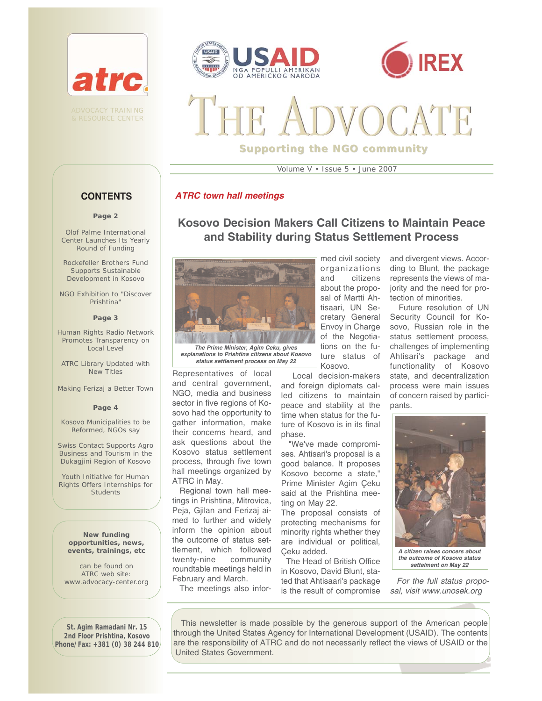





# **Supporting the NGO community**

Volume V • Issue 5 • June 2007

#### *ATRC town hall meetings*

# **Kosovo Decision Makers Call Citizens to Maintain Peace and Stability during Status Settlement Process**



*explanations to Prishtina citizens about Kosovo status settlement process on May 22*

Representatives of local and central government, NGO, media and business sector in five regions of Kosovo had the opportunity to gather information, make their concerns heard, and ask questions about the Kosovo status settlement process, through five town hall meetings organized by ATRC in May.

Regional town hall meetings in Prishtina, Mitrovica, Peja, Gjilan and Ferizaj aimed to further and widely inform the opinion about the outcome of status settlement, which followed twenty-nine community roundtable meetings held in February and March.

med civil society organizations and citizens about the proposal of Martti Ahtisaari, UN Secretary General Envoy in Charge of the Negotiations on the future status of Kosovo.

Local decision-makers and foreign diplomats called citizens to maintain peace and stability at the time when status for the future of Kosovo is in its final phase.

"We've made compromises. Ahtisari's proposal is a good balance. It proposes Kosovo become a state," Prime Minister Agim Çeku said at the Prishtina meeting on May 22.

The proposal consists of protecting mechanisms for minority rights whether they are individual or political, Çeku added.

The Head of British Office in Kosovo, David Blunt, stated that Ahtisaari's package is the result of compromise

and divergent views. According to Blunt, the package represents the views of majority and the need for protection of minorities.

Future resolution of UN Security Council for Kosovo, Russian role in the status settlement process, challenges of implementing Ahtisari's package and functionality of Kosovo state, and decentralization process were main issues of concern raised by participants.



*A citizen raises concers about the outcome of Kosovo status settelment on May 22*

*For the full status proposal, visit www.unosek.org*

The meetings also infor-

This newsletter is made possible by the generous support of the American people through the United States Agency for International Development (USAID). The contents are the responsibility of ATRC and do not necessarily reflect the views of USAID or the United States Government.

#### **CONTENTS**

#### **Page 2**

Olof Palme International Center Launches Its Yearly Round of Funding

Rockefeller Brothers Fund Supports Sustainable Development in Kosovo

NGO Exhibition to "Discover Prishtina"

#### **Page 3**

Human Rights Radio Network Promotes Transparency on Local Level

ATRC Library Updated with New Titles

Making Ferizaj a Better Town

#### **Page 4**

Kosovo Municipalities to be Reformed, NGOs say

Swiss Contact Supports Agro Business and Tourism in the Dukagjini Region of Kosovo

Youth Initiative for Human Rights Offers Internships for **Students** 

**New funding opportunities, news, events, trainings, etc** 

can be found on ATRC web site: www.advocacy-center.org

**St. Agim Ramadani Nr. 15 2nd Floor Prishtina, Kosovo Phone/Fax: +381 (0) 38 244 810**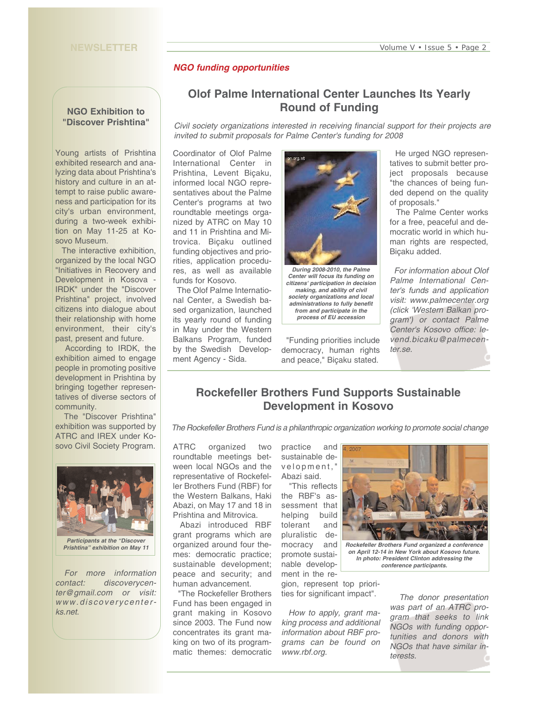#### **NEWSLETTER**

#### *NGO funding opportunities*

#### **NGO Exhibition to "Discover Prishtina"**

Young artists of Prishtina exhibited research and analyzing data about Prishtina's history and culture in an attempt to raise public awareness and participation for its city's urban environment, during a two-week exhibition on May 11-25 at Kosovo Museum.

The interactive exhibition, organized by the local NGO "Initiatives in Recovery and Development in Kosova - IRDK" under the "Discover Prishtina" project, involved citizens into dialogue about their relationship with home environment, their city's past, present and future.

According to IRDK, the exhibition aimed to engage people in promoting positive development in Prishtina by bringing together representatives of diverse sectors of community.

The "Discover Prishtina" exhibition was supported by ATRC and IREX under Kosovo Civil Society Program.



*Prishtina" exhibition on May 11*

*For more information contact: discoverycenter@gmail.com or visit: www.discoverycenterks.net*.

# **Olof Palme International Center Launches Its Yearly Round of Funding**

*Civil society organizations interested in receiving financial support for their projects are invited to submit proposals for Palme Center's funding for 2008*

Coordinator of Olof Palme International Center in Prishtina, Levent Biçaku, informed local NGO representatives about the Palme Center's programs at two roundtable meetings organized by ATRC on May 10 and 11 in Prishtina and Mitrovica. Biçaku outlined funding objectives and priorities, application procedures, as well as available funds for Kosovo.

The Olof Palme International Center, a Swedish based organization, launched its yearly round of funding in May under the Western Balkans Program, funded by the Swedish Development Agency - Sida.



*Center will focus its funding on citizens' participation in decision making, and ability of civil society organizations and local administrations to fully benefit from and participate in the process of EU accession*

"Funding priorities include democracy, human rights and peace," Biçaku stated.

He urged NGO representatives to submit better project proposals because "the chances of being funded depend on the quality of proposals."

The Palme Center works for a free, peaceful and democratic world in which human rights are respected, Biçaku added.

*For information about Olof Palme International Center's funds and application visit: www.palmecenter.org (click 'Western Balkan program') or contact Palme Center's Kosovo office: levend.bicaku@palmecenter.se.* 

# **Rockefeller Brothers Fund Supports Sustainable Development in Kosovo**

*The Rockefeller Brothers Fund is a philanthropic organization working to promote social change*

ATRC organized two roundtable meetings between local NGOs and the representative of Rockefeller Brothers Fund (RBF) for the Western Balkans, Haki Abazi, on May 17 and 18 in Prishtina and Mitrovica.

Abazi introduced RBF grant programs which are organized around four themes: democratic practice; sustainable development; peace and security; and human advancement.

"The Rockefeller Brothers Fund has been engaged in grant making in Kosovo since 2003. The Fund now concentrates its grant making on two of its programmatic themes: democratic practice and sustainable development," Abazi said.

"This reflects the RBF's assessment that helping build tolerant and pluralistic democracy and promote sustainable development in the re-

gion, represent top priorities for significant impact".

*How to apply, grant making process and additional information about RBF programs can be found on www.rbf.org.* 



*Rockefeller Brothers Fund organized a conference on April 12-14 in New York about Kosovo future. In photo: President Clinton addressing the conference participants.*

*The donor presentation was part of an ATRC program that seeks to link NGOs with funding opportunities and donors with NGOs that have similar interests.*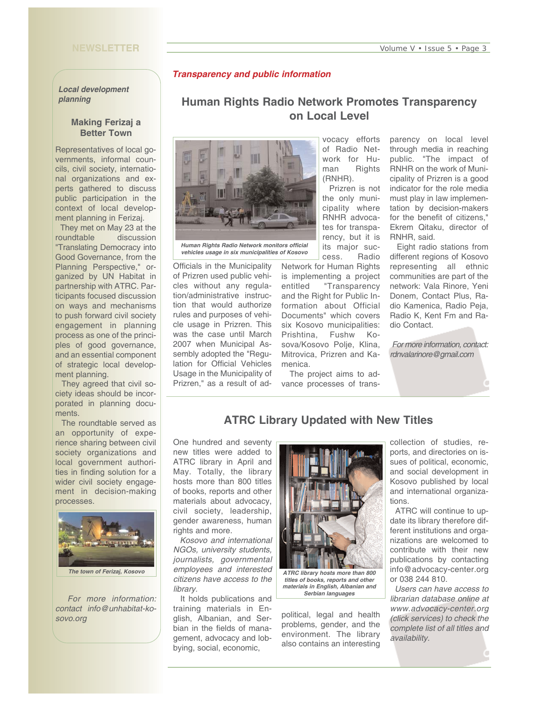#### **NEWSLETTER**

#### *Transparency and public information*

*Local development planning* 

#### **Making Ferizaj a Better Town**

Representatives of local governments, informal councils, civil society, international organizations and experts gathered to discuss public participation in the context of local development planning in Ferizaj.

They met on May 23 at the roundtable discussion "Translating Democracy into Good Governance, from the Planning Perspective," organized by UN Habitat in partnership with ATRC. Participants focused discussion on ways and mechanisms to push forward civil society engagement in planning process as one of the principles of good governance, and an essential component of strategic local development planning.

They agreed that civil society ideas should be incorporated in planning documents.

The roundtable served as an opportunity of experience sharing between civil society organizations and local government authorities in finding solution for a wider civil society engagement in decision-making processes.



*For more information: contact info@unhabitat-kosovo.org*

# **Human Rights Radio Network Promotes Transparency on Local Level**



*Human Rights Radio Network monitors official vehicles usage in six municipalities of Kosovo*

Officials in the Municipality of Prizren used public vehicles without any regulation/administrative instruction that would authorize rules and purposes of vehicle usage in Prizren. This was the case until March 2007 when Municipal Assembly adopted the "Regulation for Official Vehicles Usage in the Municipality of Prizren," as a result of ad-

vocacy efforts of Radio Network for Human Rights (RNHR).

Prizren is not the only municipality where RNHR advocates for transparency, but it is its major success. Radio

Network for Human Rights is implementing a project entitled "Transparency and the Right for Public Information about Official Documents" which covers six Kosovo municipalities: Prishtina, Fushw Kosova/Kosovo Polje, Klina, Mitrovica, Prizren and Kamenica.

The project aims to advance processes of trans-

parency on local level through media in reaching public. "The impact of RNHR on the work of Municipality of Prizren is a good indicator for the role media must play in law implementation by decision-makers for the benefit of citizens," Ekrem Qitaku, director of RNHR, said.

Eight radio stations from different regions of Kosovo representing all ethnic communities are part of the network: Vala Rinore, Yeni Donem, Contact Plus, Radio Kamenica, Radio Peja, Radio K, Kent Fm and Radio Contact.

*For more information, contact: rdnvalarinore@gmail.com*

# **ATRC Library Updated with New Titles**

One hundred and seventy new titles were added to ATRC library in April and May. Totally, the library hosts more than 800 titles of books, reports and other materials about advocacy, civil society, leadership, gender awareness, human rights and more.

*Kosovo and international NGOs, university students, journalists, governmental employees and interested citizens have access to the library.* 

It holds publications and training materials in English, Albanian, and Serbian in the fields of management, advocacy and lobbying, social, economic,



*titles of books, reports and other materials in English, Albanian and Serbian languages*

political, legal and health problems, gender, and the environment. The library also contains an interesting collection of studies, reports, and directories on issues of political, economic, and social development in Kosovo published by local and international organizations.

ATRC will continue to update its library therefore different institutions and organizations are welcomed to contribute with their new publications by contacting info@advocacy-center.org or 038 244 810.

*Users can have access to librarian database online at www.advocacy-center.org (click services) to check the complete list of all titles and availability.*